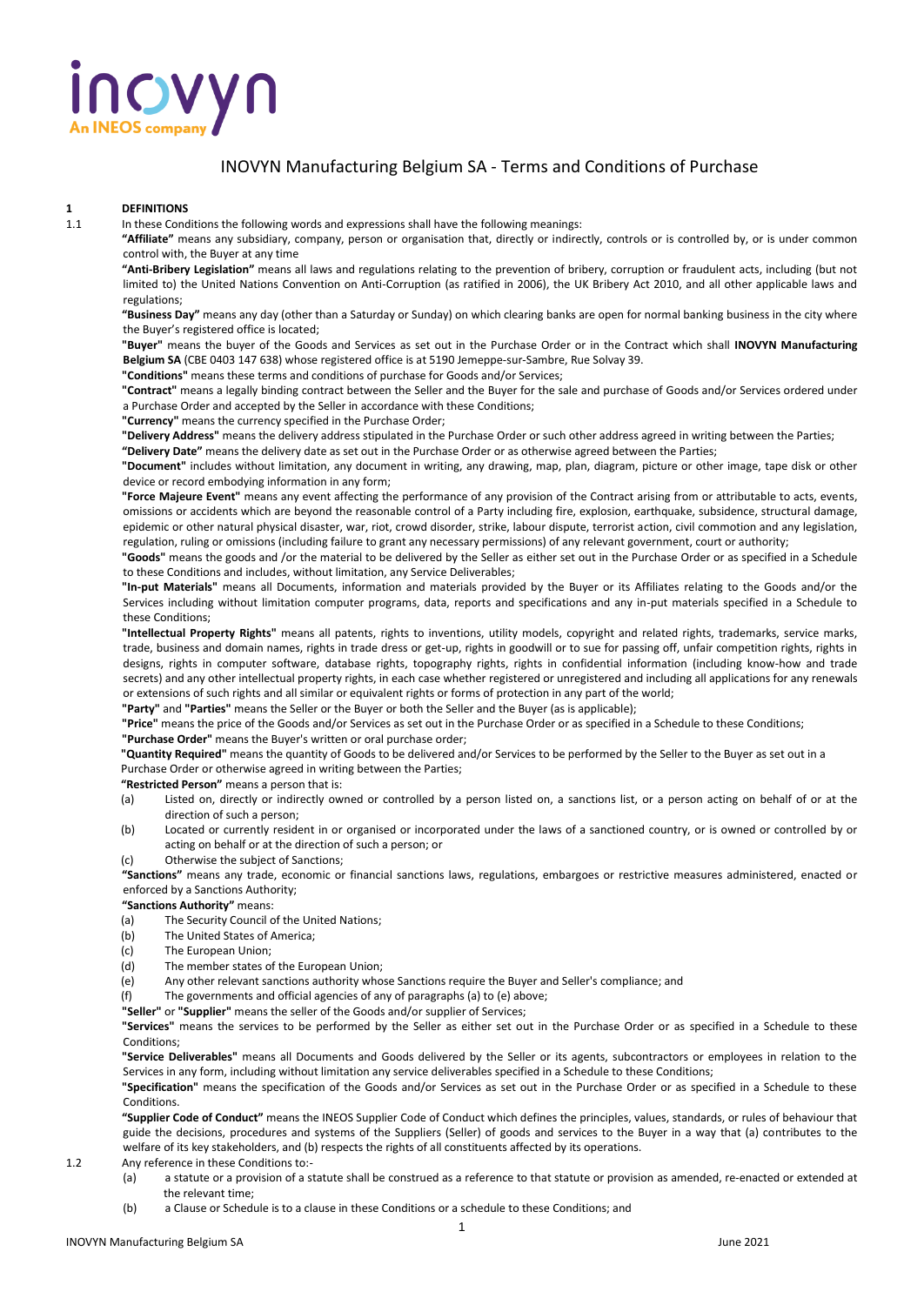# **10VYN**

#### INOVYN Manufacturing Belgium SA - Terms and Conditions of Purchase

### **1 DEFINITIONS**

In these Conditions the following words and expressions shall have the following meanings:

**"Affiliate"** means any subsidiary, company, person or organisation that, directly or indirectly, controls or is controlled by, or is under common control with, the Buyer at any time

**"Anti-Bribery Legislation"** means all laws and regulations relating to the prevention of bribery, corruption or fraudulent acts, including (but not limited to) the United Nations Convention on Anti-Corruption (as ratified in 2006), the UK Bribery Act 2010, and all other applicable laws and regulations;

**"Business Day"** means any day (other than a Saturday or Sunday) on which clearing banks are open for normal banking business in the city where the Buyer's registered office is located;

**"Buyer"** means the buyer of the Goods and Services as set out in the Purchase Order or in the Contract which shall **INOVYN Manufacturing Belgium SA** (CBE 0403 147 638) whose registered office is at 5190 Jemeppe-sur-Sambre, Rue Solvay 39.

**"Conditions"** means these terms and conditions of purchase for Goods and/or Services;

**"Contract"** means a legally binding contract between the Seller and the Buyer for the sale and purchase of Goods and/or Services ordered under a Purchase Order and accepted by the Seller in accordance with these Conditions;

**"Currency"** means the currency specified in the Purchase Order;

**"Delivery Address"** means the delivery address stipulated in the Purchase Order or such other address agreed in writing between the Parties;

**"Delivery Date"** means the delivery date as set out in the Purchase Order or as otherwise agreed between the Parties;

**"Document"** includes without limitation, any document in writing, any drawing, map, plan, diagram, picture or other image, tape disk or other device or record embodying information in any form;

**"Force Majeure Event"** means any event affecting the performance of any provision of the Contract arising from or attributable to acts, events, omissions or accidents which are beyond the reasonable control of a Party including fire, explosion, earthquake, subsidence, structural damage, epidemic or other natural physical disaster, war, riot, crowd disorder, strike, labour dispute, terrorist action, civil commotion and any legislation, regulation, ruling or omissions (including failure to grant any necessary permissions) of any relevant government, court or authority;

**"Goods"** means the goods and /or the material to be delivered by the Seller as either set out in the Purchase Order or as specified in a Schedule to these Conditions and includes, without limitation, any Service Deliverables;

**"In-put Materials"** means all Documents, information and materials provided by the Buyer or its Affiliates relating to the Goods and/or the Services including without limitation computer programs, data, reports and specifications and any in-put materials specified in a Schedule to these Conditions;

**"Intellectual Property Rights"** means all patents, rights to inventions, utility models, copyright and related rights, trademarks, service marks, trade, business and domain names, rights in trade dress or get-up, rights in goodwill or to sue for passing off, unfair competition rights, rights in designs, rights in computer software, database rights, topography rights, rights in confidential information (including know-how and trade secrets) and any other intellectual property rights, in each case whether registered or unregistered and including all applications for any renewals or extensions of such rights and all similar or equivalent rights or forms of protection in any part of the world;

**"Party"** and **"Parties"** means the Seller or the Buyer or both the Seller and the Buyer (as is applicable);

**"Price"** means the price of the Goods and/or Services as set out in the Purchase Order or as specified in a Schedule to these Conditions; **"Purchase Order"** means the Buyer's written or oral purchase order;

**"Quantity Required"** means the quantity of Goods to be delivered and/or Services to be performed by the Seller to the Buyer as set out in a

Purchase Order or otherwise agreed in writing between the Parties; **"Restricted Person"** means a person that is:

- (a) Listed on, directly or indirectly owned or controlled by a person listed on, a sanctions list, or a person acting on behalf of or at the direction of such a person;
- (b) Located or currently resident in or organised or incorporated under the laws of a sanctioned country, or is owned or controlled by or acting on behalf or at the direction of such a person; or

(c) Otherwise the subject of Sanctions;

**"Sanctions"** means any trade, economic or financial sanctions laws, regulations, embargoes or restrictive measures administered, enacted or enforced by a Sanctions Authority;

#### **"Sanctions Authority"** means:

- (a) The Security Council of the United Nations;
- (b) The United States of America;
- (c) The European Union;
- (d) The member states of the European Union;
- (e) Any other relevant sanctions authority whose Sanctions require the Buyer and Seller's compliance; and
- (f) The governments and official agencies of any of paragraphs (a) to (e) above; **"Seller"** or **"Supplier"** means the seller of the Goods and/or supplier of Services;

**"Services"** means the services to be performed by the Seller as either set out in the Purchase Order or as specified in a Schedule to these **Conditions** 

**"Service Deliverables"** means all Documents and Goods delivered by the Seller or its agents, subcontractors or employees in relation to the Services in any form, including without limitation any service deliverables specified in a Schedule to these Conditions;

**"Specification"** means the specification of the Goods and/or Services as set out in the Purchase Order or as specified in a Schedule to these **Conditions** 

**"Supplier Code of Conduct"** means the INEOS Supplier Code of Conduct which defines the principles, values, standards, or rules of behaviour that guide the decisions, procedures and systems of the Suppliers (Seller) of goods and services to the Buyer in a way that (a) contributes to the welfare of its key stakeholders, and (b) respects the rights of all constituents affected by its operations.

1.2 Any reference in these Conditions to:-

- (a) a statute or a provision of a statute shall be construed as a reference to that statute or provision as amended, re-enacted or extended at the relevant time;
- (b) a Clause or Schedule is to a clause in these Conditions or a schedule to these Conditions; and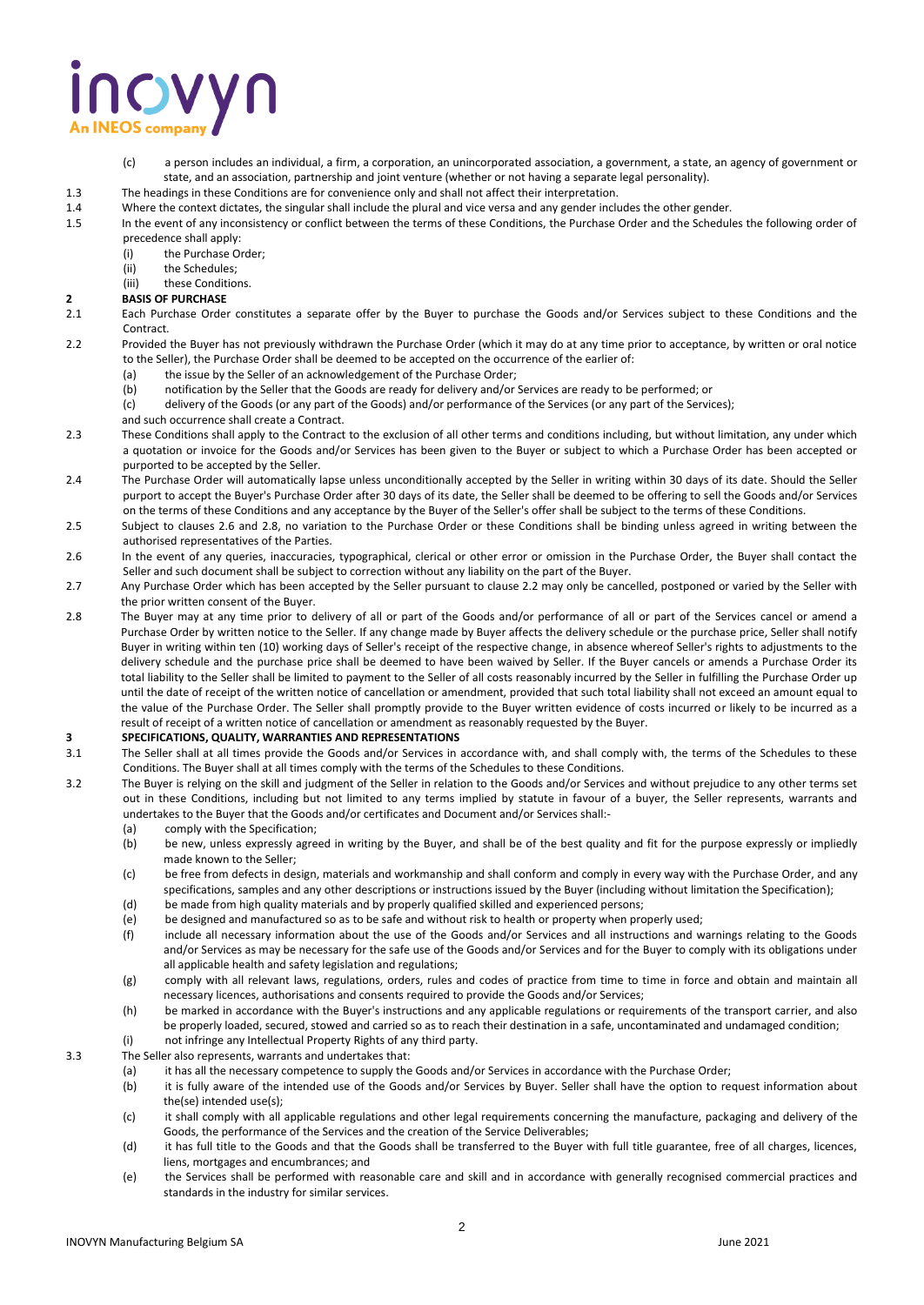# NOVYN

- (c) a person includes an individual, a firm, a corporation, an unincorporated association, a government, a state, an agency of government or state, and an association, partnership and joint venture (whether or not having a separate legal personality).
- 1.3 The headings in these Conditions are for convenience only and shall not affect their interpretation.
- 1.4 Where the context dictates, the singular shall include the plural and vice versa and any gender includes the other gender.
- 1.5 In the event of any inconsistency or conflict between the terms of these Conditions, the Purchase Order and the Schedules the following order of precedence shall apply:
	- (i) the Purchase Order;
	- (ii) the Schedules;
	- (iii) these Conditions.

## **2 BASIS OF PURCHASE**<br>**2.1 Each Purchase Order**

- Each Purchase Order constitutes a separate offer by the Buyer to purchase the Goods and/or Services subject to these Conditions and the Contract.
- 2.2 Provided the Buyer has not previously withdrawn the Purchase Order (which it may do at any time prior to acceptance, by written or oral notice to the Seller), the Purchase Order shall be deemed to be accepted on the occurrence of the earlier of:
	- (a) the issue by the Seller of an acknowledgement of the Purchase Order;
	- (b) notification by the Seller that the Goods are ready for delivery and/or Services are ready to be performed; or
	- (c) delivery of the Goods (or any part of the Goods) and/or performance of the Services (or any part of the Services);
	- and such occurrence shall create a Contract.
- 2.3 These Conditions shall apply to the Contract to the exclusion of all other terms and conditions including, but without limitation, any under which a quotation or invoice for the Goods and/or Services has been given to the Buyer or subject to which a Purchase Order has been accepted or purported to be accepted by the Seller.
- 2.4 The Purchase Order will automatically lapse unless unconditionally accepted by the Seller in writing within 30 days of its date. Should the Seller purport to accept the Buyer's Purchase Order after 30 days of its date, the Seller shall be deemed to be offering to sell the Goods and/or Services on the terms of these Conditions and any acceptance by the Buyer of the Seller's offer shall be subject to the terms of these Conditions.
- 2.5 Subject to clauses 2.6 and 2.8, no variation to the Purchase Order or these Conditions shall be binding unless agreed in writing between the authorised representatives of the Parties.
- 2.6 In the event of any queries, inaccuracies, typographical, clerical or other error or omission in the Purchase Order, the Buyer shall contact the Seller and such document shall be subject to correction without any liability on the part of the Buyer.
- 2.7 Any Purchase Order which has been accepted by the Seller pursuant to clause 2.2 may only be cancelled, postponed or varied by the Seller with the prior written consent of the Buyer.
- 2.8 The Buyer may at any time prior to delivery of all or part of the Goods and/or performance of all or part of the Services cancel or amend a Purchase Order by written notice to the Seller. If any change made by Buyer affects the delivery schedule or the purchase price, Seller shall notify Buyer in writing within ten (10) working days of Seller's receipt of the respective change, in absence whereof Seller's rights to adjustments to the delivery schedule and the purchase price shall be deemed to have been waived by Seller. If the Buyer cancels or amends a Purchase Order its total liability to the Seller shall be limited to payment to the Seller of all costs reasonably incurred by the Seller in fulfilling the Purchase Order up until the date of receipt of the written notice of cancellation or amendment, provided that such total liability shall not exceed an amount equal to the value of the Purchase Order. The Seller shall promptly provide to the Buyer written evidence of costs incurred or likely to be incurred as a result of receipt of a written notice of cancellation or amendment as reasonably requested by the Buyer.

# **3 SPECIFICATIONS, QUALITY, WARRANTIES AND REPRESENTATIONS**<br>**3.1** The Seller shall at all times provide the Goods and/or Services in

- The Seller shall at all times provide the Goods and/or Services in accordance with, and shall comply with, the terms of the Schedules to these Conditions. The Buyer shall at all times comply with the terms of the Schedules to these Conditions.
- 3.2 The Buyer is relying on the skill and judgment of the Seller in relation to the Goods and/or Services and without prejudice to any other terms set out in these Conditions, including but not limited to any terms implied by statute in favour of a buyer, the Seller represents, warrants and undertakes to the Buyer that the Goods and/or certificates and Document and/or Services shall:-
	- (a) comply with the Specification;
	- (b) be new, unless expressly agreed in writing by the Buyer, and shall be of the best quality and fit for the purpose expressly or impliedly made known to the Seller;
	- (c) be free from defects in design, materials and workmanship and shall conform and comply in every way with the Purchase Order, and any specifications, samples and any other descriptions or instructions issued by the Buyer (including without limitation the Specification);
	- (d) be made from high quality materials and by properly qualified skilled and experienced persons;
	- (e) be designed and manufactured so as to be safe and without risk to health or property when properly used;
	- (f) include all necessary information about the use of the Goods and/or Services and all instructions and warnings relating to the Goods and/or Services as may be necessary for the safe use of the Goods and/or Services and for the Buyer to comply with its obligations under all applicable health and safety legislation and regulations;
	- (g) comply with all relevant laws, regulations, orders, rules and codes of practice from time to time in force and obtain and maintain all necessary licences, authorisations and consents required to provide the Goods and/or Services;
	- (h) be marked in accordance with the Buyer's instructions and any applicable regulations or requirements of the transport carrier, and also be properly loaded, secured, stowed and carried so as to reach their destination in a safe, uncontaminated and undamaged condition; (i) not infringe any Intellectual Property Rights of any third party.
- 3.3 The Seller also represents, warrants and undertakes that:
	- (a) it has all the necessary competence to supply the Goods and/or Services in accordance with the Purchase Order;
	- (b) it is fully aware of the intended use of the Goods and/or Services by Buyer. Seller shall have the option to request information about the(se) intended use(s);
	- (c) it shall comply with all applicable regulations and other legal requirements concerning the manufacture, packaging and delivery of the Goods, the performance of the Services and the creation of the Service Deliverables;
	- (d) it has full title to the Goods and that the Goods shall be transferred to the Buyer with full title guarantee, free of all charges, licences, liens, mortgages and encumbrances; and
	- (e) the Services shall be performed with reasonable care and skill and in accordance with generally recognised commercial practices and standards in the industry for similar services.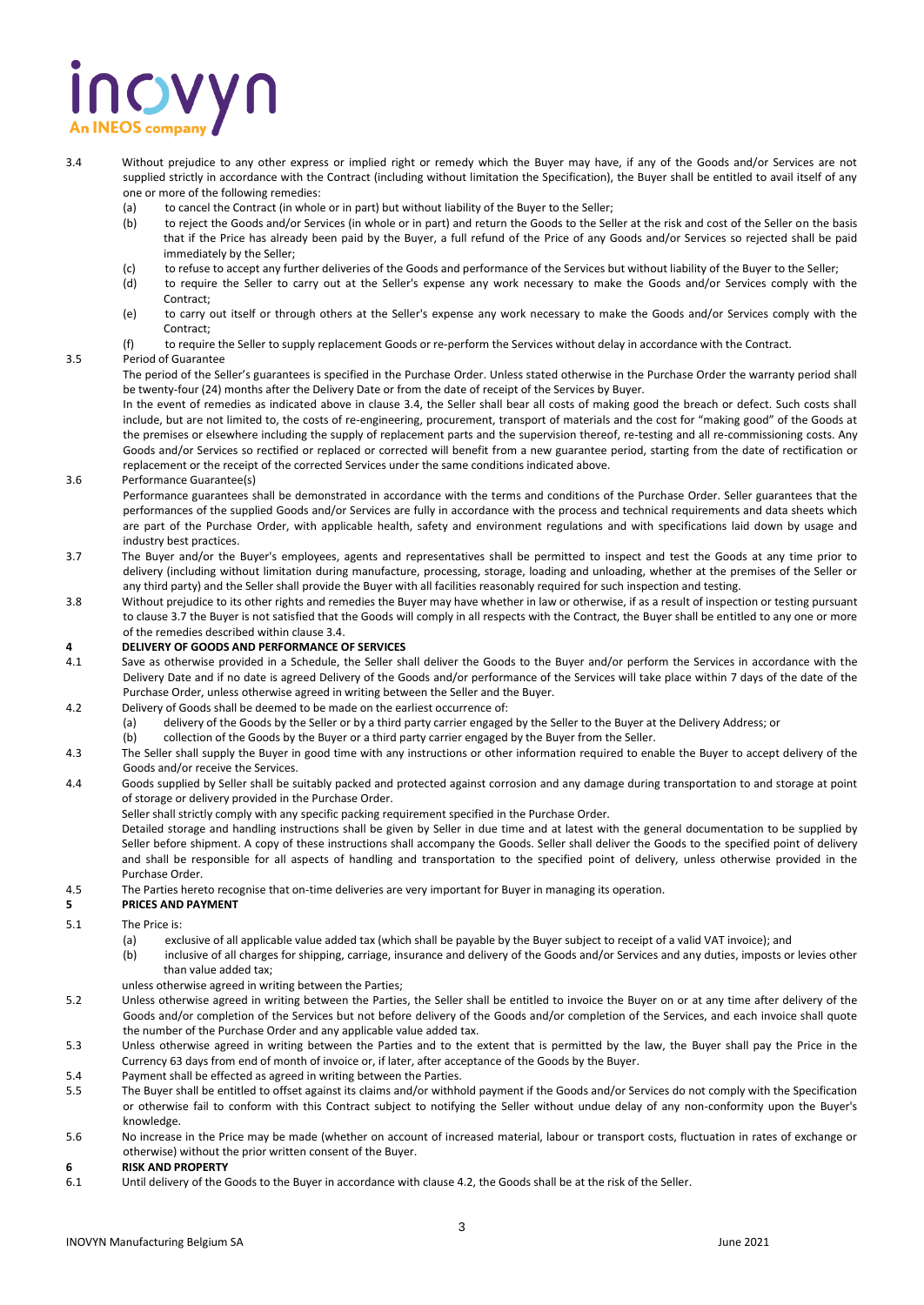# **NOVYN**

- 3.4 Without prejudice to any other express or implied right or remedy which the Buyer may have, if any of the Goods and/or Services are not supplied strictly in accordance with the Contract (including without limitation the Specification), the Buyer shall be entitled to avail itself of any one or more of the following remedies:
	- (a) to cancel the Contract (in whole or in part) but without liability of the Buyer to the Seller;
	- (b) to reject the Goods and/or Services (in whole or in part) and return the Goods to the Seller at the risk and cost of the Seller on the basis that if the Price has already been paid by the Buyer, a full refund of the Price of any Goods and/or Services so rejected shall be paid immediately by the Seller;
	- (c) to refuse to accept any further deliveries of the Goods and performance of the Services but without liability of the Buyer to the Seller;
	- (d) to require the Seller to carry out at the Seller's expense any work necessary to make the Goods and/or Services comply with the Contract;
	- (e) to carry out itself or through others at the Seller's expense any work necessary to make the Goods and/or Services comply with the Contract;
	- (f) to require the Seller to supply replacement Goods or re-perform the Services without delay in accordance with the Contract.

#### 3.5 Period of Guarantee

The period of the Seller's guarantees is specified in the Purchase Order. Unless stated otherwise in the Purchase Order the warranty period shall be twenty-four (24) months after the Delivery Date or from the date of receipt of the Services by Buyer.

In the event of remedies as indicated above in clause 3.4, the Seller shall bear all costs of making good the breach or defect. Such costs shall include, but are not limited to, the costs of re-engineering, procurement, transport of materials and the cost for "making good" of the Goods at the premises or elsewhere including the supply of replacement parts and the supervision thereof, re-testing and all re-commissioning costs. Any Goods and/or Services so rectified or replaced or corrected will benefit from a new guarantee period, starting from the date of rectification or replacement or the receipt of the corrected Services under the same conditions indicated above.

3.6 Performance Guarantee(s)

Performance guarantees shall be demonstrated in accordance with the terms and conditions of the Purchase Order. Seller guarantees that the performances of the supplied Goods and/or Services are fully in accordance with the process and technical requirements and data sheets which are part of the Purchase Order, with applicable health, safety and environment regulations and with specifications laid down by usage and industry best practices.

- 3.7 The Buyer and/or the Buyer's employees, agents and representatives shall be permitted to inspect and test the Goods at any time prior to delivery (including without limitation during manufacture, processing, storage, loading and unloading, whether at the premises of the Seller or any third party) and the Seller shall provide the Buyer with all facilities reasonably required for such inspection and testing.
- 3.8 Without prejudice to its other rights and remedies the Buyer may have whether in law or otherwise, if as a result of inspection or testing pursuant to clause 3.7 the Buyer is not satisfied that the Goods will comply in all respects with the Contract, the Buyer shall be entitled to any one or more of the remedies described within clause 3.4.

# **4 DELIVERY OF GOODS AND PERFORMANCE OF SERVICES**

- Save as otherwise provided in a Schedule, the Seller shall deliver the Goods to the Buyer and/or perform the Services in accordance with the Delivery Date and if no date is agreed Delivery of the Goods and/or performance of the Services will take place within 7 days of the date of the Purchase Order, unless otherwise agreed in writing between the Seller and the Buyer.
- 4.2 Delivery of Goods shall be deemed to be made on the earliest occurrence of:
	- (a) delivery of the Goods by the Seller or by a third party carrier engaged by the Seller to the Buyer at the Delivery Address; or
		- (b) collection of the Goods by the Buyer or a third party carrier engaged by the Buyer from the Seller.
- 4.3 The Seller shall supply the Buyer in good time with any instructions or other information required to enable the Buyer to accept delivery of the Goods and/or receive the Services.
- 4.4 Goods supplied by Seller shall be suitably packed and protected against corrosion and any damage during transportation to and storage at point of storage or delivery provided in the Purchase Order.
	- Seller shall strictly comply with any specific packing requirement specified in the Purchase Order.

Detailed storage and handling instructions shall be given by Seller in due time and at latest with the general documentation to be supplied by Seller before shipment. A copy of these instructions shall accompany the Goods. Seller shall deliver the Goods to the specified point of delivery and shall be responsible for all aspects of handling and transportation to the specified point of delivery, unless otherwise provided in the Purchase Order.

4.5 The Parties hereto recognise that on-time deliveries are very important for Buyer in managing its operation.

#### **5 PRICES AND PAYMENT**

- 5.1 The Price is:<br>(a) exc
	- exclusive of all applicable value added tax (which shall be payable by the Buyer subject to receipt of a valid VAT invoice); and
	- (b) inclusive of all charges for shipping, carriage, insurance and delivery of the Goods and/or Services and any duties, imposts or levies other than value added tax;
	- unless otherwise agreed in writing between the Parties;
- 5.2 Unless otherwise agreed in writing between the Parties, the Seller shall be entitled to invoice the Buyer on or at any time after delivery of the Goods and/or completion of the Services but not before delivery of the Goods and/or completion of the Services, and each invoice shall quote the number of the Purchase Order and any applicable value added tax.
- 5.3 Unless otherwise agreed in writing between the Parties and to the extent that is permitted by the law, the Buyer shall pay the Price in the Currency 63 days from end of month of invoice or, if later, after acceptance of the Goods by the Buyer.
- 5.4 Payment shall be effected as agreed in writing between the Parties.
- 5.5 The Buyer shall be entitled to offset against its claims and/or withhold payment if the Goods and/or Services do not comply with the Specification or otherwise fail to conform with this Contract subject to notifying the Seller without undue delay of any non-conformity upon the Buyer's knowledge.
- 5.6 No increase in the Price may be made (whether on account of increased material, labour or transport costs, fluctuation in rates of exchange or otherwise) without the prior written consent of the Buyer.
- **6 RISK AND PROPERTY**
- 6.1 Until delivery of the Goods to the Buyer in accordance with clause 4.2, the Goods shall be at the risk of the Seller.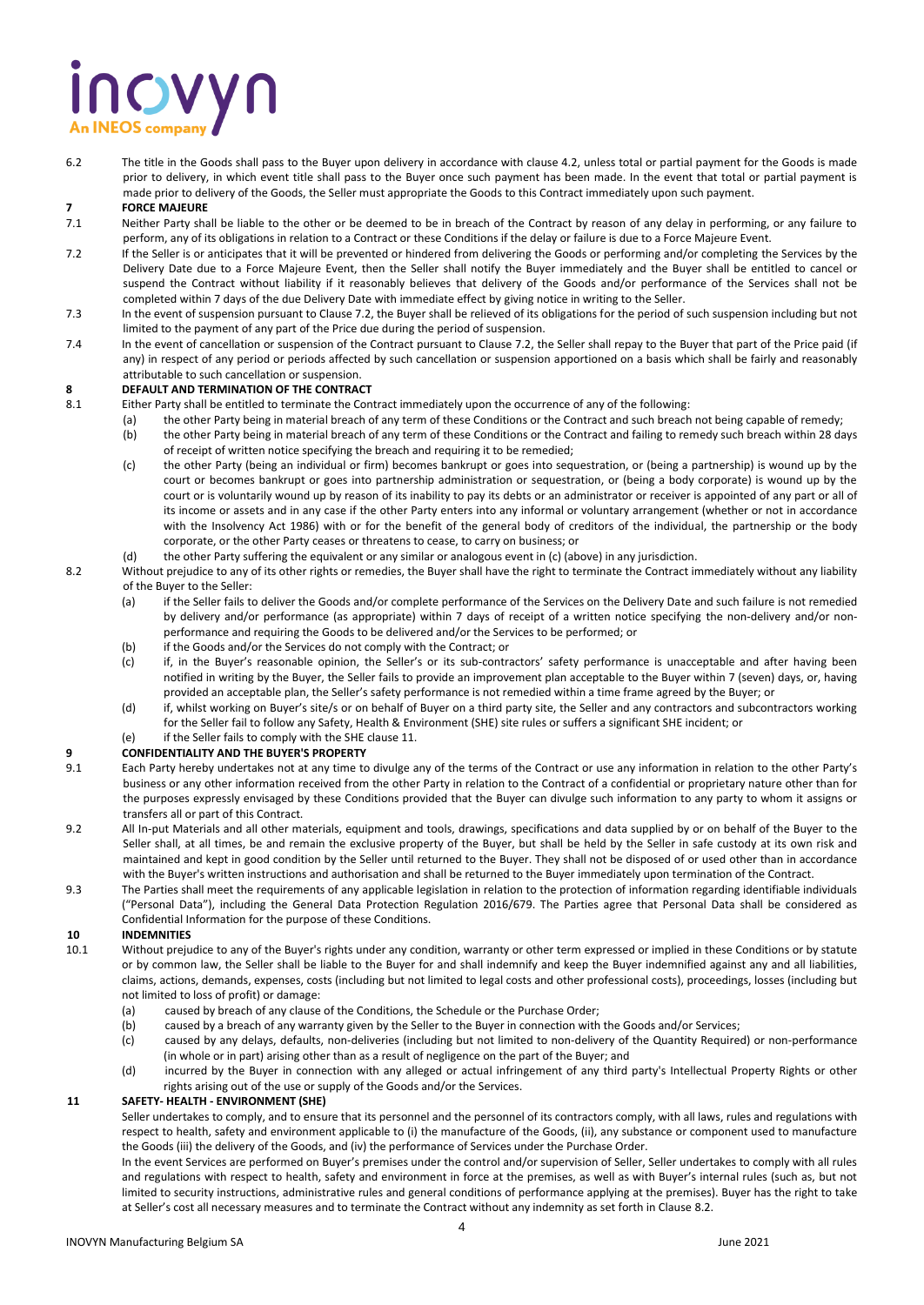# inovyn

6.2 The title in the Goods shall pass to the Buyer upon delivery in accordance with clause 4.2, unless total or partial payment for the Goods is made prior to delivery, in which event title shall pass to the Buyer once such payment has been made. In the event that total or partial payment is made prior to delivery of the Goods, the Seller must appropriate the Goods to this Contract immediately upon such payment.

#### **7 FORCE MAJEURE**

- 7.1 Neither Party shall be liable to the other or be deemed to be in breach of the Contract by reason of any delay in performing, or any failure to perform, any of its obligations in relation to a Contract or these Conditions if the delay or failure is due to a Force Majeure Event.
- 7.2 If the Seller is or anticipates that it will be prevented or hindered from delivering the Goods or performing and/or completing the Services by the Delivery Date due to a Force Majeure Event, then the Seller shall notify the Buyer immediately and the Buyer shall be entitled to cancel or suspend the Contract without liability if it reasonably believes that delivery of the Goods and/or performance of the Services shall not be completed within 7 days of the due Delivery Date with immediate effect by giving notice in writing to the Seller.
- 7.3 In the event of suspension pursuant to Clause 7.2, the Buyer shall be relieved of its obligations for the period of such suspension including but not limited to the payment of any part of the Price due during the period of suspension.
- 7.4 In the event of cancellation or suspension of the Contract pursuant to Clause 7.2, the Seller shall repay to the Buyer that part of the Price paid (if any) in respect of any period or periods affected by such cancellation or suspension apportioned on a basis which shall be fairly and reasonably attributable to such cancellation or suspension.

#### **8 DEFAULT AND TERMINATION OF THE CONTRACT**

- 8.1 Either Party shall be entitled to terminate the Contract immediately upon the occurrence of any of the following:
	- (a) the other Party being in material breach of any term of these Conditions or the Contract and such breach not being capable of remedy;
		- (b) the other Party being in material breach of any term of these Conditions or the Contract and failing to remedy such breach within 28 days of receipt of written notice specifying the breach and requiring it to be remedied;
		- (c) the other Party (being an individual or firm) becomes bankrupt or goes into sequestration, or (being a partnership) is wound up by the court or becomes bankrupt or goes into partnership administration or sequestration, or (being a body corporate) is wound up by the court or is voluntarily wound up by reason of its inability to pay its debts or an administrator or receiver is appointed of any part or all of its income or assets and in any case if the other Party enters into any informal or voluntary arrangement (whether or not in accordance with the Insolvency Act 1986) with or for the benefit of the general body of creditors of the individual, the partnership or the body corporate, or the other Party ceases or threatens to cease, to carry on business; or
	- (d) the other Party suffering the equivalent or any similar or analogous event in (c) (above) in any jurisdiction.
- 8.2 Without prejudice to any of its other rights or remedies, the Buyer shall have the right to terminate the Contract immediately without any liability of the Buyer to the Seller:
	- (a) if the Seller fails to deliver the Goods and/or complete performance of the Services on the Delivery Date and such failure is not remedied by delivery and/or performance (as appropriate) within 7 days of receipt of a written notice specifying the non-delivery and/or nonperformance and requiring the Goods to be delivered and/or the Services to be performed; or
	- (b) if the Goods and/or the Services do not comply with the Contract; or
	- (c) if, in the Buyer's reasonable opinion, the Seller's or its sub-contractors' safety performance is unacceptable and after having been notified in writing by the Buyer, the Seller fails to provide an improvement plan acceptable to the Buyer within 7 (seven) days, or, having provided an acceptable plan, the Seller's safety performance is not remedied within a time frame agreed by the Buyer; or
	- (d) if, whilst working on Buyer's site/s or on behalf of Buyer on a third party site, the Seller and any contractors and subcontractors working for the Seller fail to follow any Safety, Health & Environment (SHE) site rules or suffers a significant SHE incident; or

#### if the Seller fails to comply with the SHE clause 11.

#### **9 CONFIDENTIALITY AND THE BUYER'S PROPERTY**

- 9.1 Each Party hereby undertakes not at any time to divulge any of the terms of the Contract or use any information in relation to the other Party's business or any other information received from the other Party in relation to the Contract of a confidential or proprietary nature other than for the purposes expressly envisaged by these Conditions provided that the Buyer can divulge such information to any party to whom it assigns or transfers all or part of this Contract.
- 9.2 All In-put Materials and all other materials, equipment and tools, drawings, specifications and data supplied by or on behalf of the Buyer to the Seller shall, at all times, be and remain the exclusive property of the Buyer, but shall be held by the Seller in safe custody at its own risk and maintained and kept in good condition by the Seller until returned to the Buyer. They shall not be disposed of or used other than in accordance with the Buyer's written instructions and authorisation and shall be returned to the Buyer immediately upon termination of the Contract.
- 9.3 The Parties shall meet the requirements of any applicable legislation in relation to the protection of information regarding identifiable individuals ("Personal Data"), including the General Data Protection Regulation 2016/679. The Parties agree that Personal Data shall be considered as Confidential Information for the purpose of these Conditions.

#### **10 INDEMNITIES**

- 10.1 Without prejudice to any of the Buyer's rights under any condition, warranty or other term expressed or implied in these Conditions or by statute or by common law, the Seller shall be liable to the Buyer for and shall indemnify and keep the Buyer indemnified against any and all liabilities, claims, actions, demands, expenses, costs (including but not limited to legal costs and other professional costs), proceedings, losses (including but not limited to loss of profit) or damage:
	- (a) caused by breach of any clause of the Conditions, the Schedule or the Purchase Order;
	- (b) caused by a breach of any warranty given by the Seller to the Buyer in connection with the Goods and/or Services;
	- (c) caused by any delays, defaults, non-deliveries (including but not limited to non-delivery of the Quantity Required) or non-performance (in whole or in part) arising other than as a result of negligence on the part of the Buyer; and
	- (d) incurred by the Buyer in connection with any alleged or actual infringement of any third party's Intellectual Property Rights or other rights arising out of the use or supply of the Goods and/or the Services.

#### **11 SAFETY- HEALTH - ENVIRONMENT (SHE)**

Seller undertakes to comply, and to ensure that its personnel and the personnel of its contractors comply, with all laws, rules and regulations with respect to health, safety and environment applicable to (i) the manufacture of the Goods, (ii), any substance or component used to manufacture the Goods (iii) the delivery of the Goods, and (iv) the performance of Services under the Purchase Order.

In the event Services are performed on Buyer's premises under the control and/or supervision of Seller, Seller undertakes to comply with all rules and regulations with respect to health, safety and environment in force at the premises, as well as with Buyer's internal rules (such as, but not limited to security instructions, administrative rules and general conditions of performance applying at the premises). Buyer has the right to take at Seller's cost all necessary measures and to terminate the Contract without any indemnity as set forth in Clause 8.2.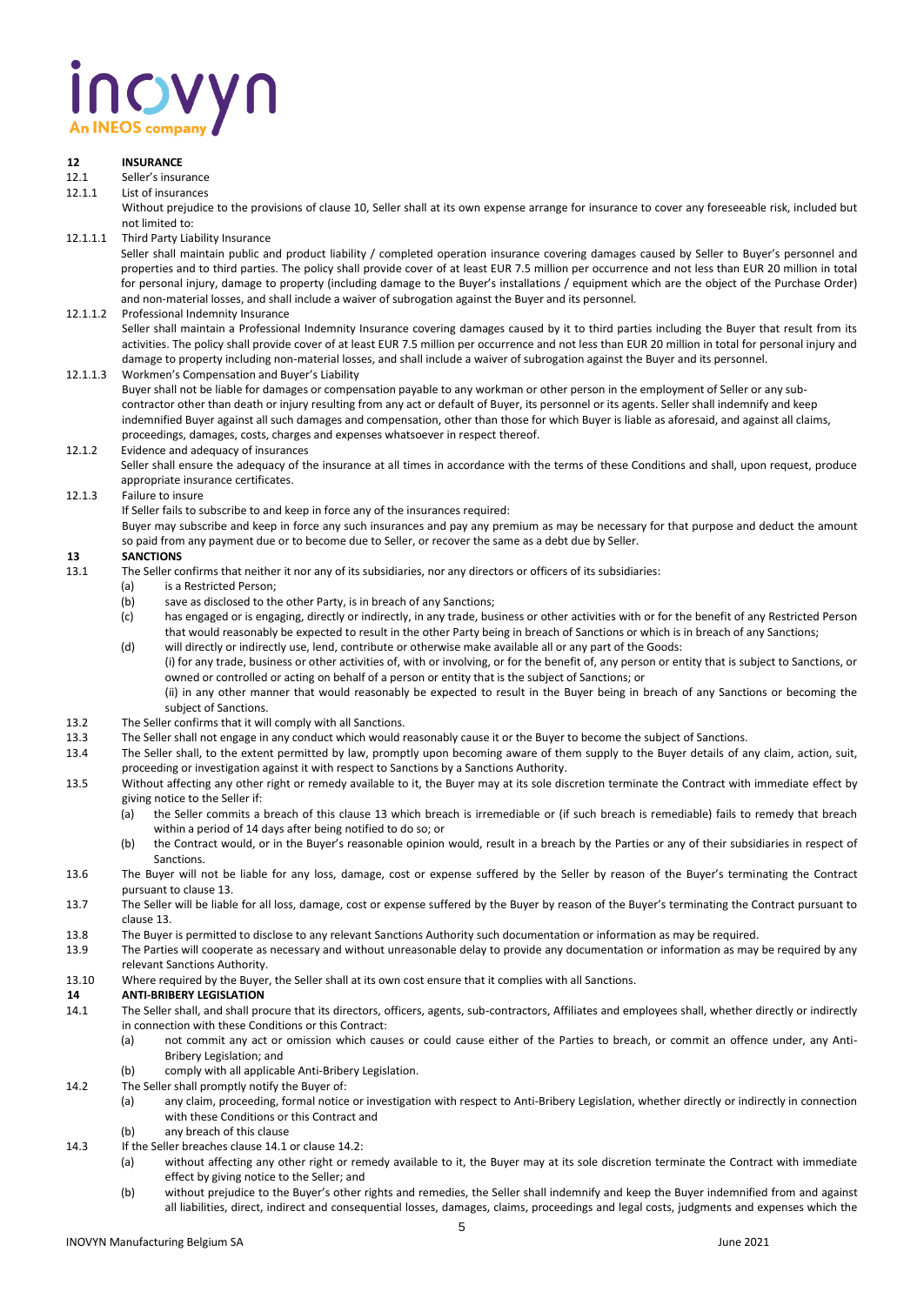# inovyn **An INEOS compa**

### **12 INSURANCE**

### 12.1 Seller's insurance<br>12.1.1 List of insurances

#### 12.1.1 List of insurances

Without prejudice to the provisions of clause 10, Seller shall at its own expense arrange for insurance to cover any foreseeable risk, included but not limited to:

12.1.1.1 Third Party Liability Insurance

Seller shall maintain public and product liability / completed operation insurance covering damages caused by Seller to Buyer's personnel and properties and to third parties. The policy shall provide cover of at least EUR 7.5 million per occurrence and not less than EUR 20 million in total for personal injury, damage to property (including damage to the Buyer's installations / equipment which are the object of the Purchase Order) and non-material losses, and shall include a waiver of subrogation against the Buyer and its personnel.

#### 12.1.1.2 Professional Indemnity Insurance

Seller shall maintain a Professional Indemnity Insurance covering damages caused by it to third parties including the Buyer that result from its activities. The policy shall provide cover of at least EUR 7.5 million per occurrence and not less than EUR 20 million in total for personal injury and damage to property including non-material losses, and shall include a waiver of subrogation against the Buyer and its personnel.

12.1.1.3 Workmen's Compensation and Buyer's Liability

Buyer shall not be liable for damages or compensation payable to any workman or other person in the employment of Seller or any subcontractor other than death or injury resulting from any act or default of Buyer, its personnel or its agents. Seller shall indemnify and keep indemnified Buyer against all such damages and compensation, other than those for which Buyer is liable as aforesaid, and against all claims, proceedings, damages, costs, charges and expenses whatsoever in respect thereof.

#### 12.1.2 Evidence and adequacy of insurances

Seller shall ensure the adequacy of the insurance at all times in accordance with the terms of these Conditions and shall, upon request, produce appropriate insurance certificates.

#### 12.1.3 Failure to insure

If Seller fails to subscribe to and keep in force any of the insurances required:

Buyer may subscribe and keep in force any such insurances and pay any premium as may be necessary for that purpose and deduct the amount so paid from any payment due or to become due to Seller, or recover the same as a debt due by Seller.

### **13 SANCTIONS**<br>**13.1 The Seller co**

- The Seller confirms that neither it nor any of its subsidiaries, nor any directors or officers of its subsidiaries:
	- (a) is a Restricted Person;
		- (b) save as disclosed to the other Party, is in breach of any Sanctions;
		- (c) has engaged or is engaging, directly or indirectly, in any trade, business or other activities with or for the benefit of any Restricted Person that would reasonably be expected to result in the other Party being in breach of Sanctions or which is in breach of any Sanctions;
		- (d) will directly or indirectly use, lend, contribute or otherwise make available all or any part of the Goods: (i) for any trade, business or other activities of, with or involving, or for the benefit of, any person or entity that is subject to Sanctions, or owned or controlled or acting on behalf of a person or entity that is the subject of Sanctions; or (ii) in any other manner that would reasonably be expected to result in the Buyer being in breach of any Sanctions or becoming the
			- subject of Sanctions.
- 13.2 The Seller confirms that it will comply with all Sanctions.
- 13.3 The Seller shall not engage in any conduct which would reasonably cause it or the Buyer to become the subject of Sanctions.
- 13.4 The Seller shall, to the extent permitted by law, promptly upon becoming aware of them supply to the Buyer details of any claim, action, suit, proceeding or investigation against it with respect to Sanctions by a Sanctions Authority.
- 13.5 Without affecting any other right or remedy available to it, the Buyer may at its sole discretion terminate the Contract with immediate effect by giving notice to the Seller if:
	- (a) the Seller commits a breach of this clause 13 which breach is irremediable or (if such breach is remediable) fails to remedy that breach within a period of 14 days after being notified to do so; or
	- (b) the Contract would, or in the Buyer's reasonable opinion would, result in a breach by the Parties or any of their subsidiaries in respect of Sanctions.
- 13.6 The Buyer will not be liable for any loss, damage, cost or expense suffered by the Seller by reason of the Buyer's terminating the Contract pursuant to clause 13.
- 13.7 The Seller will be liable for all loss, damage, cost or expense suffered by the Buyer by reason of the Buyer's terminating the Contract pursuant to clause 13.
- 13.8 The Buyer is permitted to disclose to any relevant Sanctions Authority such documentation or information as may be required.
- 13.9 The Parties will cooperate as necessary and without unreasonable delay to provide any documentation or information as may be required by any relevant Sanctions Authority.
- 13.10 Where required by the Buyer, the Seller shall at its own cost ensure that it complies with all Sanctions.

# **14 ANTI-BRIBERY LEGISLATION**

- The Seller shall, and shall procure that its directors, officers, agents, sub-contractors, Affiliates and employees shall, whether directly or indirectly in connection with these Conditions or this Contract:
	- (a) not commit any act or omission which causes or could cause either of the Parties to breach, or commit an offence under, any Anti-Bribery Legislation; and
	- (b) comply with all applicable Anti-Bribery Legislation.
- 14.2 The Seller shall promptly notify the Buyer of:
	- (a) any claim, proceeding, formal notice or investigation with respect to Anti-Bribery Legislation, whether directly or indirectly in connection with these Conditions or this Contract and
	- (b) any breach of this clause
- 14.3 If the Seller breaches clause 14.1 or clause 14.2:
	- (a) without affecting any other right or remedy available to it, the Buyer may at its sole discretion terminate the Contract with immediate effect by giving notice to the Seller; and
	- (b) without prejudice to the Buyer's other rights and remedies, the Seller shall indemnify and keep the Buyer indemnified from and against all liabilities, direct, indirect and consequential losses, damages, claims, proceedings and legal costs, judgments and expenses which the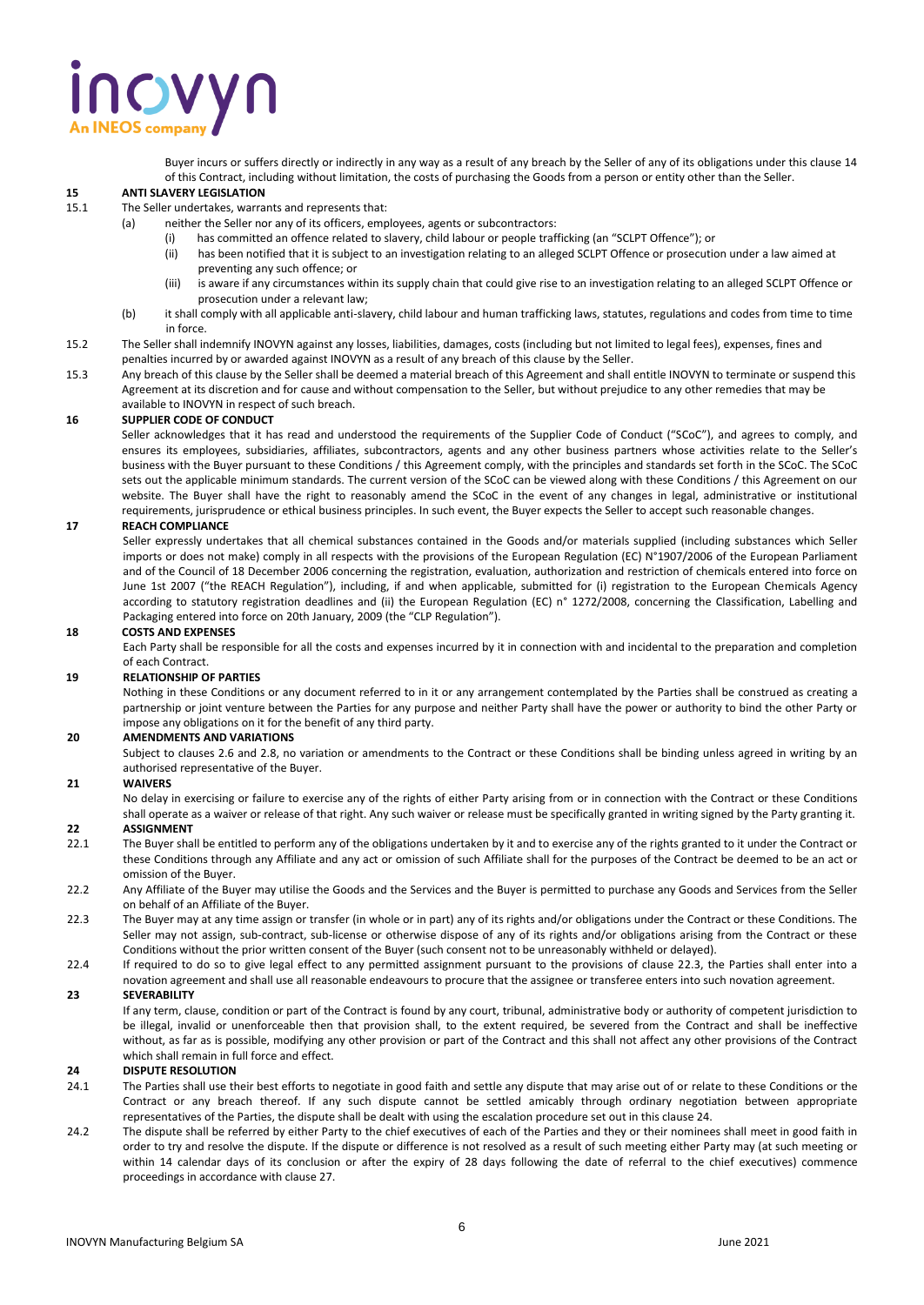# novyn

Buyer incurs or suffers directly or indirectly in any way as a result of any breach by the Seller of any of its obligations under this clause 14 of this Contract, including without limitation, the costs of purchasing the Goods from a person or entity other than the Seller.

#### **15 ANTI SLAVERY LEGISLATION**

- 15.1 The Seller undertakes, warrants and represents that:
	- (a) neither the Seller nor any of its officers, employees, agents or subcontractors:
		- (i) has committed an offence related to slavery, child labour or people trafficking (an "SCLPT Offence"); or
			- (ii) has been notified that it is subject to an investigation relating to an alleged SCLPT Offence or prosecution under a law aimed at preventing any such offence; or
		- (iii) is aware if any circumstances within its supply chain that could give rise to an investigation relating to an alleged SCLPT Offence or prosecution under a relevant law;
	- (b) it shall comply with all applicable anti-slavery, child labour and human trafficking laws, statutes, regulations and codes from time to time in force.
- 15.2 The Seller shall indemnify INOVYN against any losses, liabilities, damages, costs (including but not limited to legal fees), expenses, fines and penalties incurred by or awarded against INOVYN as a result of any breach of this clause by the Seller.
- 15.3 Any breach of this clause by the Seller shall be deemed a material breach of this Agreement and shall entitle INOVYN to terminate or suspend this Agreement at its discretion and for cause and without compensation to the Seller, but without prejudice to any other remedies that may be available to INOVYN in respect of such breach.

#### **16 SUPPLIER CODE OF CONDUCT**

Seller acknowledges that it has read and understood the requirements of the Supplier Code of Conduct ("SCoC"), and agrees to comply, and ensures its employees, subsidiaries, affiliates, subcontractors, agents and any other business partners whose activities relate to the Seller's business with the Buyer pursuant to these Conditions / this Agreement comply, with the principles and standards set forth in the SCoC. The SCoC sets out the applicable minimum standards. The current version of the SCoC can be viewed along with these Conditions / this Agreement on our website. The Buyer shall have the right to reasonably amend the SCoC in the event of any changes in legal, administrative or institutional requirements, jurisprudence or ethical business principles. In such event, the Buyer expects the Seller to accept such reasonable changes.

#### **17 REACH COMPLIANCE**

Seller expressly undertakes that all chemical substances contained in the Goods and/or materials supplied (including substances which Seller imports or does not make) comply in all respects with the provisions of the European Regulation (EC) N°1907/2006 of the European Parliament and of the Council of 18 December 2006 concerning the registration, evaluation, authorization and restriction of chemicals entered into force on June 1st 2007 ("the REACH Regulation"), including, if and when applicable, submitted for (i) registration to the European Chemicals Agency according to statutory registration deadlines and (ii) the European Regulation (EC) n° 1272/2008, concerning the Classification, Labelling and Packaging entered into force on 20th January, 2009 (the "CLP Regulation").

#### **18 COSTS AND EXPENSES**

Each Party shall be responsible for all the costs and expenses incurred by it in connection with and incidental to the preparation and completion of each Contract.

#### **19 RELATIONSHIP OF PARTIES**

Nothing in these Conditions or any document referred to in it or any arrangement contemplated by the Parties shall be construed as creating a partnership or joint venture between the Parties for any purpose and neither Party shall have the power or authority to bind the other Party or impose any obligations on it for the benefit of any third party.

#### **20 AMENDMENTS AND VARIATIONS**

Subject to clauses 2.6 and 2.8, no variation or amendments to the Contract or these Conditions shall be binding unless agreed in writing by an authorised representative of the Buyer.

#### **21 WAIVERS**

No delay in exercising or failure to exercise any of the rights of either Party arising from or in connection with the Contract or these Conditions shall operate as a waiver or release of that right. Any such waiver or release must be specifically granted in writing signed by the Party granting it.

#### **22 ASSIGNMENT**

- 22.1 The Buyer shall be entitled to perform any of the obligations undertaken by it and to exercise any of the rights granted to it under the Contract or these Conditions through any Affiliate and any act or omission of such Affiliate shall for the purposes of the Contract be deemed to be an act or omission of the Buyer.
- 22.2 Any Affiliate of the Buyer may utilise the Goods and the Services and the Buyer is permitted to purchase any Goods and Services from the Seller on behalf of an Affiliate of the Buyer.
- 22.3 The Buyer may at any time assign or transfer (in whole or in part) any of its rights and/or obligations under the Contract or these Conditions. The Seller may not assign, sub-contract, sub-license or otherwise dispose of any of its rights and/or obligations arising from the Contract or these Conditions without the prior written consent of the Buyer (such consent not to be unreasonably withheld or delayed).
- 22.4 If required to do so to give legal effect to any permitted assignment pursuant to the provisions of clause 22.3, the Parties shall enter into a novation agreement and shall use all reasonable endeavours to procure that the assignee or transferee enters into such novation agreement.

#### **23 SEVERABILITY**

If any term, clause, condition or part of the Contract is found by any court, tribunal, administrative body or authority of competent jurisdiction to be illegal, invalid or unenforceable then that provision shall, to the extent required, be severed from the Contract and shall be ineffective without, as far as is possible, modifying any other provision or part of the Contract and this shall not affect any other provisions of the Contract which shall remain in full force and effect.

#### **24 DISPUTE RESOLUTION**

- 24.1 The Parties shall use their best efforts to negotiate in good faith and settle any dispute that may arise out of or relate to these Conditions or the Contract or any breach thereof. If any such dispute cannot be settled amicably through ordinary negotiation between appropriate representatives of the Parties, the dispute shall be dealt with using the escalation procedure set out in this clause 24.
- 24.2 The dispute shall be referred by either Party to the chief executives of each of the Parties and they or their nominees shall meet in good faith in order to try and resolve the dispute. If the dispute or difference is not resolved as a result of such meeting either Party may (at such meeting or within 14 calendar days of its conclusion or after the expiry of 28 days following the date of referral to the chief executives) commence proceedings in accordance with clause 27.